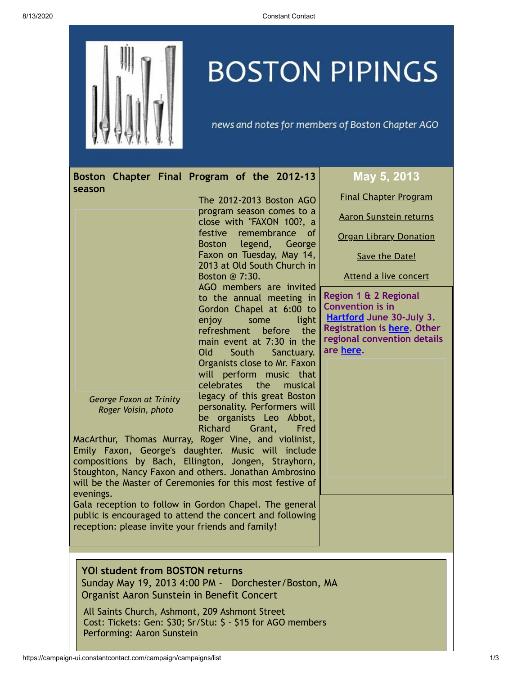

## **BOSTON PIPINGS**

news and notes for members of Boston Chapter AGO

<span id="page-0-1"></span><span id="page-0-0"></span>

| Boston Chapter Final Program of the 2012-13                                                                                                                                                                                                                                                                                                      |                                                                                                                                                                                                                                                                                                                                                                                                        | May 5, 2013                                                                                                                                                    |
|--------------------------------------------------------------------------------------------------------------------------------------------------------------------------------------------------------------------------------------------------------------------------------------------------------------------------------------------------|--------------------------------------------------------------------------------------------------------------------------------------------------------------------------------------------------------------------------------------------------------------------------------------------------------------------------------------------------------------------------------------------------------|----------------------------------------------------------------------------------------------------------------------------------------------------------------|
| season                                                                                                                                                                                                                                                                                                                                           | The 2012-2013 Boston AGO<br>program season comes to a<br>close with "FAXON 100?, a<br>festive remembrance of<br>Boston legend, George<br>Faxon on Tuesday, May 14,<br>2013 at Old South Church in<br>Boston @ 7:30.<br>AGO members are invited                                                                                                                                                         | <b>Final Chapter Program</b><br><b>Aaron Sunstein returns</b><br><b>Organ Library Donation</b><br>Save the Date!<br>Attend a live concert                      |
| <b>George Faxon at Trinity</b><br>Roger Voisin, photo<br>MacArthur, Thomas Murray, Roger Vine, and violinist,<br>Emily Faxon, George's daughter. Music will include<br>compositions by Bach, Ellington, Jongen, Strayhorn,<br>Stoughton, Nancy Faxon and others. Jonathan Ambrosino<br>will be the Master of Ceremonies for this most festive of | to the annual meeting in<br>Gordon Chapel at 6:00 to<br>enjoy<br>light<br>some<br>refreshment before<br>the<br>main event at 7:30 in the<br>Old<br>South<br>Sanctuary.<br>Organists close to Mr. Faxon<br>will perform music that<br><b>celebrates</b><br>the<br>musical<br>legacy of this great Boston<br>personality. Performers will<br>be organists Leo Abbot,<br><b>Richard</b><br>Grant,<br>Fred | Region 1 & 2 Regional<br><b>Convention is in</b><br><b>Hartford June 30-July 3.</b><br>Registration is here. Other<br>regional convention details<br>are here. |
| evenings.<br>Gala reception to follow in Gordon Chapel. The general<br>public is encouraged to attend the concert and following<br>reception: please invite your friends and family!                                                                                                                                                             |                                                                                                                                                                                                                                                                                                                                                                                                        |                                                                                                                                                                |
| <b>YOI student from BOSTON returns</b><br>Sunday May 19, 2013 4:00 PM - Dorchester/Boston, MA<br>Organist Aaron Sunstein in Benefit Concert<br>All Saints Church, Ashmont, 209 Ashmont Street<br>Cost: Tickets: Gen: \$30; Sr/Stu: \$ - \$15 for AGO members<br>Performing: Aaron Sunstein                                                       |                                                                                                                                                                                                                                                                                                                                                                                                        |                                                                                                                                                                |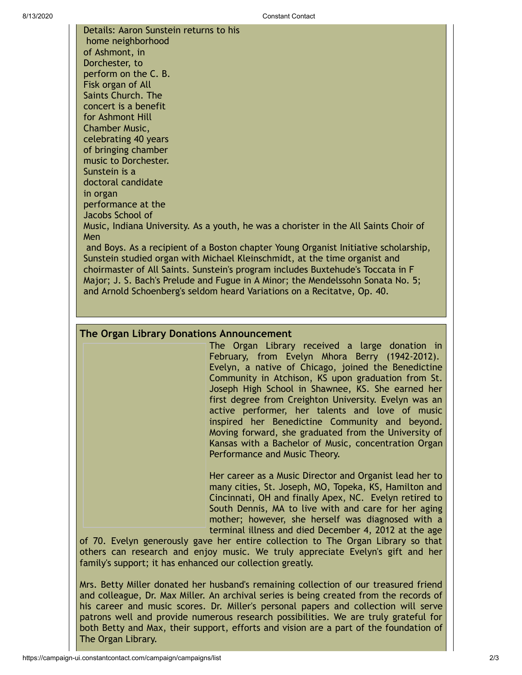Details: Aaron Sunstein returns to his home neighborhood of Ashmont, in Dorchester, to perform on the C. B. Fisk organ of All Saints Church. The concert is a benefit for Ashmont Hill Chamber Music, celebrating 40 years of bringing chamber music to Dorchester. Sunstein is a doctoral candidate in organ performance at the Jacobs School of Music, Indiana University. As a youth, he was a chorister in the All Saints Choir of Men and Boys. As a recipient of a Boston chapter Young Organist Initiative scholarship, Sunstein studied organ with Michael Kleinschmidt, at the time organist and choirmaster of All Saints. Sunstein's program includes Buxtehude's Toccata in F Major; J. S. Bach's Prelude and Fugue in A Minor; the Mendelssohn Sonata No. 5;

and Arnold Schoenberg's seldom heard Variations on a Recitatve, Op. 40.

## <span id="page-1-0"></span>**The Organ Library Donations Announcement**

The Organ Library received a large donation in February, from Evelyn Mhora Berry (1942-2012). Evelyn, a native of Chicago, joined the Benedictine Community in Atchison, KS upon graduation from St. Joseph High School in Shawnee, KS. She earned her first degree from Creighton University. Evelyn was an active performer, her talents and love of music inspired her Benedictine Community and beyond. Moving forward, she graduated from the University of Kansas with a Bachelor of Music, concentration Organ Performance and Music Theory.

Her career as a Music Director and Organist lead her to many cities, St. Joseph, MO, Topeka, KS, Hamilton and Cincinnati, OH and finally Apex, NC. Evelyn retired to South Dennis, MA to live with and care for her aging mother; however, she herself was diagnosed with a terminal illness and died December 4, 2012 at the age

of 70. Evelyn generously gave her entire collection to The Organ Library so that others can research and enjoy music. We truly appreciate Evelyn's gift and her family's support; it has enhanced our collection greatly.

Mrs. Betty Miller donated her husband's remaining collection of our treasured friend and colleague, Dr. Max Miller. An archival series is being created from the records of his career and music scores. Dr. Miller's personal papers and collection will serve patrons well and provide numerous research possibilities. We are truly grateful for both Betty and Max, their support, efforts and vision are a part of the foundation of The Organ Library.